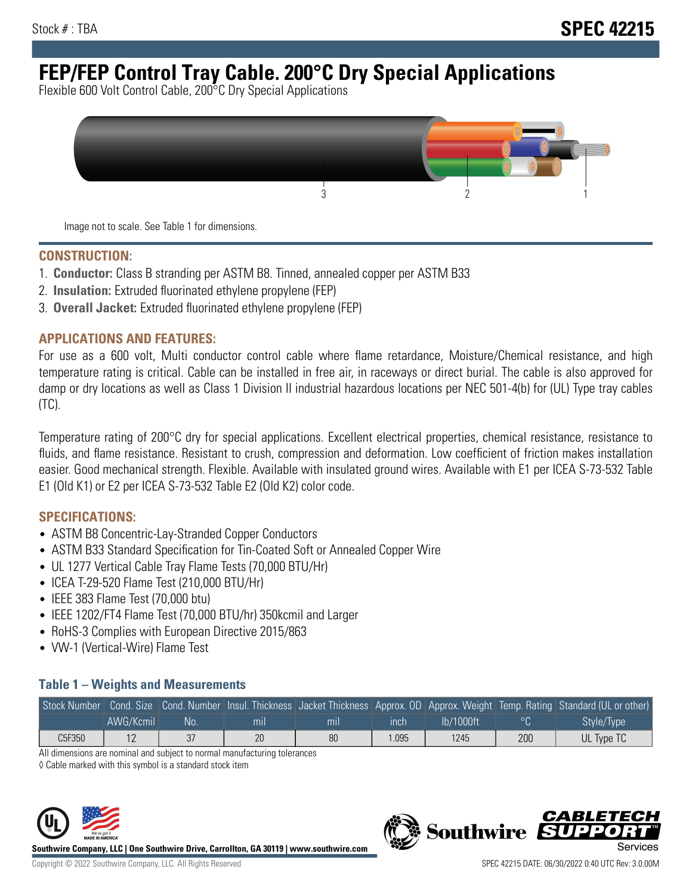# **FEP/FEP Control Tray Cable. 200°C Dry Special Applications**

Flexible 600 Volt Control Cable, 200°C Dry Special Applications



Image not to scale. See Table 1 for dimensions.

#### **CONSTRUCTION:**

- 1. **Conductor:** Class B stranding per ASTM B8. Tinned, annealed copper per ASTM B33
- 2. **Insulation:** Extruded fluorinated ethylene propylene (FEP)
- 3. **Overall Jacket:** Extruded fluorinated ethylene propylene (FEP)

#### **APPLICATIONS AND FEATURES:**

For use as a 600 volt, Multi conductor control cable where flame retardance, Moisture/Chemical resistance, and high temperature rating is critical. Cable can be installed in free air, in raceways or direct burial. The cable is also approved for damp or dry locations as well as Class 1 Division II industrial hazardous locations per NEC 501-4(b) for (UL) Type tray cables (TC).

Temperature rating of 200°C dry for special applications. Excellent electrical properties, chemical resistance, resistance to fluids, and flame resistance. Resistant to crush, compression and deformation. Low coefficient of friction makes installation easier. Good mechanical strength. Flexible. Available with insulated ground wires. Available with E1 per ICEA S-73-532 Table E1 (Old K1) or E2 per ICEA S-73-532 Table E2 (Old K2) color code.

#### **SPECIFICATIONS:**

- ASTM B8 Concentric-Lay-Stranded Copper Conductors
- ASTM B33 Standard Specification for Tin-Coated Soft or Annealed Copper Wire
- UL 1277 Vertical Cable Tray Flame Tests (70,000 BTU/Hr)
- ICEA T-29-520 Flame Test (210,000 BTU/Hr)
- IEEE 383 Flame Test (70,000 btu)
- IEEE 1202/FT4 Flame Test (70,000 BTU/hr) 350kcmil and Larger
- RoHS-3 Complies with European Directive 2015/863
- VW-1 (Vertical-Wire) Flame Test

#### **Table 1 – Weights and Measurements**

|        |           |     |                |     |      |           |                | Stock Number Cond. Size Cond. Number Insul. Thickness Jacket Thickness Approx. OD Approx. Weight Temp. Rating Standard (UL or other) |
|--------|-----------|-----|----------------|-----|------|-----------|----------------|--------------------------------------------------------------------------------------------------------------------------------------|
|        | AWG/Kcmil | .No | m <sub>l</sub> | mıl | ınch | lb/1000ft | $\circ$ $\cap$ | Style/Type                                                                                                                           |
| C5F350 |           | 37  | 20             | 80  | .095 | 1245      | 200            | UL Type TC                                                                                                                           |

All dimensions are nominal and subject to normal manufacturing tolerances

◊ Cable marked with this symbol is a standard stock item



**Southwire Company, LLC | One Southwire Drive, Carrollton, GA 30119 | www.southwire.com**